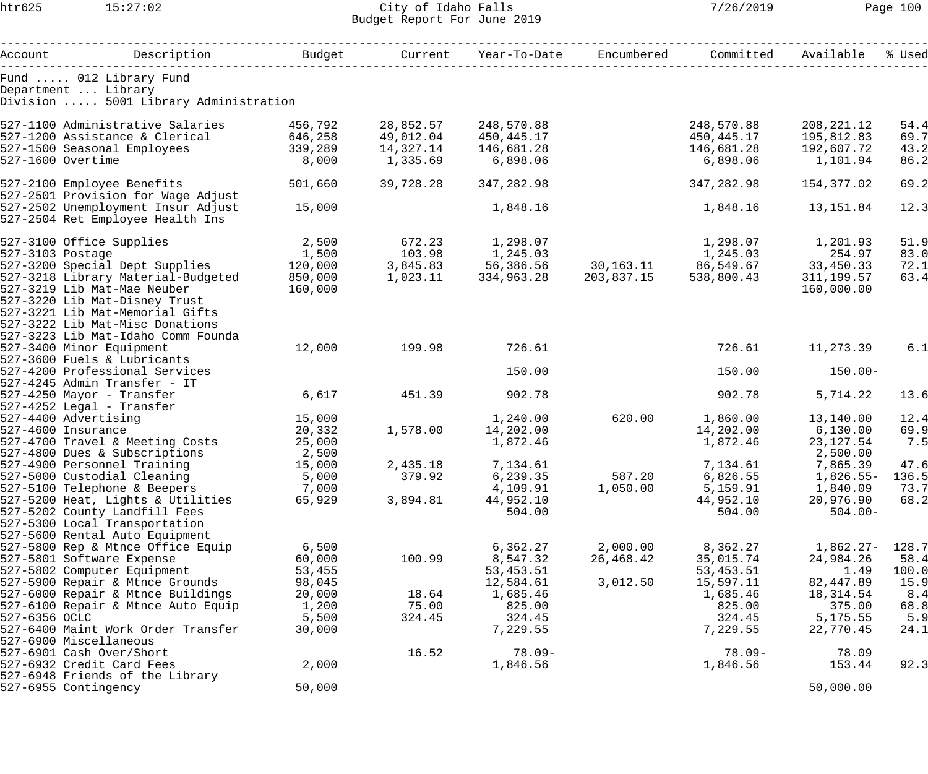htr625 15:27:02 City of Idaho Falls 7/26/2019 Page 100 Budget Report For June 2019

|               | Account Description                                                                     | Budget           | Current           | Year-To-Date           | Encumbered | Committed              | Available         | % Used        |
|---------------|-----------------------------------------------------------------------------------------|------------------|-------------------|------------------------|------------|------------------------|-------------------|---------------|
|               | Fund  012 Library Fund                                                                  |                  |                   |                        |            |                        |                   |               |
|               | Department  Library                                                                     |                  |                   |                        |            |                        |                   |               |
|               | Division  5001 Library Administration                                                   |                  |                   |                        |            |                        |                   |               |
|               | 527-1100 Administrative Salaries 156,792                                                |                  | 28,852.57         | 248,570.88             |            | 248,570.88             | 208,221.12        | 54.4          |
|               | 527-1200 Assistance & Clerical 646,258                                                  |                  | 49,012.04         | 450,445.17             |            | 450,445.17             | 195,812.83        | 69.7          |
|               | 527-1500 Seasonal Employees                                                             | 339,289          | 14,327.14         | 146,681.28             |            | 146,681.28             | 192,607.72        | 43.2          |
|               | 527-1600 Overtime                                                                       | 8,000            | 1,335.69          | 6,898.06               |            | 6,898.06               | 1,101.94          | 86.2          |
|               | 527-2100 Employee Benefits                                                              | 501,660          | 39,728.28         | 347,282.98             |            | 347,282.98             | 154,377.02        | 69.2          |
|               | 527-2501 Provision for Wage Adjust                                                      |                  |                   |                        |            |                        |                   |               |
|               | 527-2502 Unemployment Insur Adjust                                                      | 15,000           |                   | 1,848.16               |            | 1,848.16               | 13, 151.84        | 12.3          |
|               | 527-2504 Ret Employee Health Ins                                                        |                  |                   |                        |            |                        |                   |               |
|               | 527-3100 Office Supplies                                                                | 2,500            | $672.23$ 1,298.07 |                        |            |                        |                   | 51.9          |
|               | 527-3103 Postage                                                                        | 1,500            | $103.98$ 1,245.03 |                        |            | $1,245.03$ 254.97      |                   | 83.0          |
|               | 527-3200 Special Dept Supplies 120,000 3,845.83 56,386.56 30,163.11 86,549.67 33,450.33 |                  |                   |                        |            |                        |                   | 72.1          |
|               | 527-3218 Library Material-Budgeted 850,000                                              |                  | 1,023.11          | 334,963.28 203,837.15  |            | 538,800.43             | 311,199.57        | 63.4          |
|               | 527-3219 Lib Mat-Mae Neuber                                                             | 160,000          |                   |                        |            |                        | 160,000.00        |               |
|               | 527-3220 Lib Mat-Disney Trust                                                           |                  |                   |                        |            |                        |                   |               |
|               | 527-3221 Lib Mat-Memorial Gifts                                                         |                  |                   |                        |            |                        |                   |               |
|               | 527-3222 Lib Mat-Misc Donations                                                         |                  |                   |                        |            |                        |                   |               |
|               | 527-3223 Lib Mat-Idaho Comm Founda                                                      |                  |                   |                        |            |                        |                   |               |
|               | 527-3400 Minor Equipment                                                                | 12,000           | 199.98            | 726.61                 |            | 726.61                 | 11,273.39         | 6.1           |
|               | 527-3600 Fuels & Lubricants<br>527-4200 Professional Services                           |                  |                   | 150.00                 |            | 150.00                 | $150.00 -$        |               |
|               | 527-4245 Admin Transfer - IT                                                            |                  |                   |                        |            |                        |                   |               |
|               | 527-4250 Mayor - Transfer                                                               | 6,617            | 451.39            | 902.78                 |            | 902.78                 | 5,714.22          | 13.6          |
|               | $527 - 4252$ Legal - Transfer                                                           |                  |                   |                        |            |                        |                   |               |
|               | 527-4400 Advertising                                                                    | 15,000           |                   | 1,240.00               | 620.00     | 1,860.00               | 13,140.00         | 12.4          |
|               | 527-4600 Insurance                                                                      | 20,332           |                   | 1,578.00    14,202.00  |            | 14,202.00 6,130.00     |                   | 69.9          |
|               | 527-4700 Travel & Meeting Costs                                                         | 25,000           |                   | 1,872.46               |            | 1,872.46               | 23, 127.54        | 7.5           |
|               | 527-4800 Dues & Subscriptions                                                           | 2,500            |                   |                        |            |                        | 2,500.00          |               |
|               | 527-4900 Personnel Training                                                             | 15,000           | 2,435.18          | 7,134.61               |            | 7,134.61               | 7,865.39          | 47.6          |
|               | 527-5000 Custodial Cleaning                                                             | 5,000            | 379.92            | 6,239.35               | 587.20     | 6,826.55               | $1,826.55-$       | 136.5         |
|               | 527-5100 Telephone & Beepers                                                            | 7,000            |                   | 4,109.91               | 1,050.00   | 5,159.91               | 1,840.09          | 73.7          |
|               | 527-5200 Heat, Lights & Utilities                                                       | 65,929           | 3,894.81          | 44,952.10              |            | 44,952.10              | 20,976.90         | 68.2          |
|               | 527-5202 County Landfill Fees                                                           |                  |                   | 504.00                 |            | 504.00                 | $504.00 -$        |               |
|               | 527-5300 Local Transportation                                                           |                  |                   |                        |            |                        |                   |               |
|               | 527-5600 Rental Auto Equipment                                                          |                  |                   |                        |            |                        |                   |               |
|               | 527-5800 Rep & Mtnce Office Equip                                                       | 6,500            |                   | 6,362.27               | 2,000.00   | 8,362.27               | 1,862.27-         | 128.7         |
|               | 527-5801 Software Expense                                                               | 60,000           | 100.99            | 8,547.32               | 26,468.42  | 35,015.74              | 24,984.26         | 58.4          |
|               | 527-5802 Computer Equipment<br>527-5900 Repair & Mtnce Grounds                          | 53,455<br>98,045 |                   | 53,453.51<br>12,584.61 | 3,012.50   | 53,453.51<br>15,597.11 | 1.49<br>82,447.89 | 100.0<br>15.9 |
|               | 527-6000 Repair & Mtnce Buildings                                                       | 20,000           | 18.64             | 1,685.46               |            | 1,685.46               | 18,314.54         | 8.4           |
|               | 527-6100 Repair & Mtnce Auto Equip                                                      | 1,200            | 75.00             | 825.00                 |            | 825.00                 | 375.00            | 68.8          |
| 527-6356 OCLC |                                                                                         | 5,500            | 324.45            | 324.45                 |            | 324.45                 | 5, 175.55         | 5.9           |
|               | 527-6400 Maint Work Order Transfer                                                      | 30,000           |                   | 7,229.55               |            | 7,229.55               | 22,770.45         | 24.1          |
|               | 527-6900 Miscellaneous                                                                  |                  |                   |                        |            |                        |                   |               |
|               | 527-6901 Cash Over/Short                                                                |                  | 16.52             | $78.09 -$              |            | $78.09 -$              | 78.09             |               |
|               | 527-6932 Credit Card Fees                                                               | 2,000            |                   | 1,846.56               |            | 1,846.56               | 153.44            | 92.3          |
|               | 527-6948 Friends of the Library                                                         |                  |                   |                        |            |                        |                   |               |
|               | 527-6955 Contingency                                                                    | 50,000           |                   |                        |            |                        | 50,000.00         |               |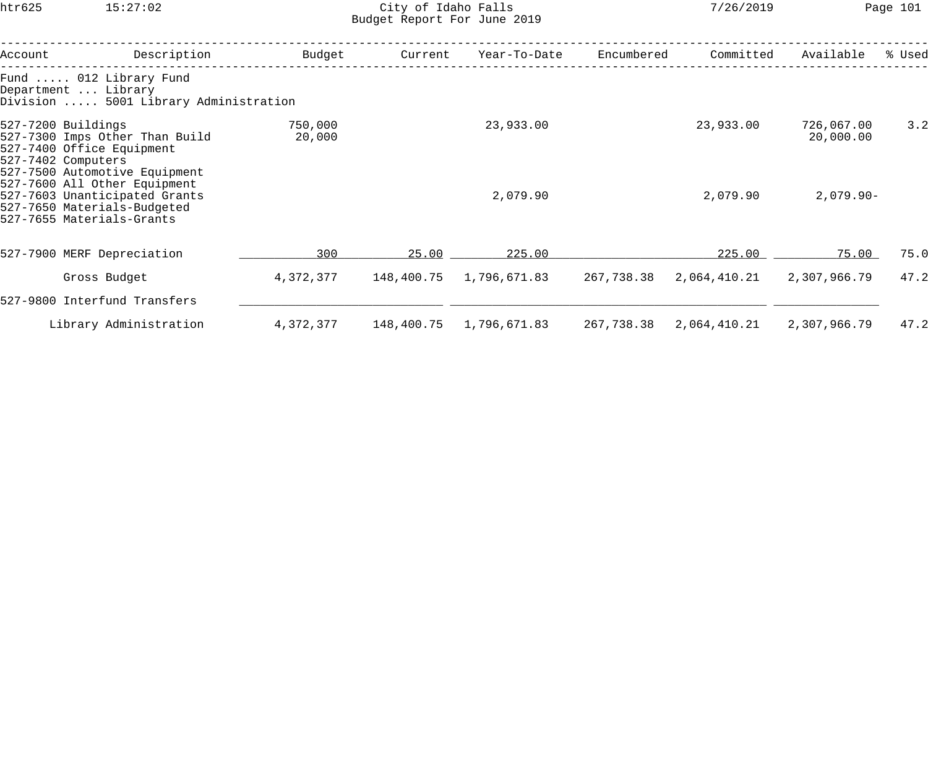htr625 15:27:02 City of Idaho Falls 7/26/2019 Page 101 Budget Report For June 2019

| Account | Description                                                                                                                              | Budget            | Current    | Year-To-Date            | Encumbered | Committed    | Available               | % Used |
|---------|------------------------------------------------------------------------------------------------------------------------------------------|-------------------|------------|-------------------------|------------|--------------|-------------------------|--------|
|         | Fund  012 Library Fund<br>Department  Library<br>Division  5001 Library Administration                                                   |                   |            |                         |            |              |                         |        |
|         | 527-7200 Buildings<br>527-7300 Imps Other Than Build<br>527-7400 Office Equipment<br>527-7402 Computers<br>527-7500 Automotive Equipment | 750,000<br>20,000 |            | 23,933.00               |            | 23,933.00    | 726,067.00<br>20,000.00 | 3.2    |
|         | 527-7600 All Other Equipment<br>527-7603 Unanticipated Grants<br>527-7650 Materials-Budgeted<br>527-7655 Materials-Grants                |                   |            | 2,079.90                |            | 2,079.90     | $2,079.90 -$            |        |
|         | 527-7900 MERF Depreciation                                                                                                               | 300               | 25.00      | 225.00                  |            | 225.00       | 75.00                   | 75.0   |
|         | Gross Budget                                                                                                                             | 4,372,377         | 148,400.75 | 1,796,671.83            | 267,738.38 | 2,064,410.21 | 2,307,966.79            | 47.2   |
|         | 527-9800 Interfund Transfers                                                                                                             |                   |            |                         |            |              |                         |        |
|         | Library Administration                                                                                                                   | 4,372,377         |            | 148,400.75 1,796,671.83 | 267,738.38 | 2,064,410.21 | 2,307,966.79            | 47.2   |